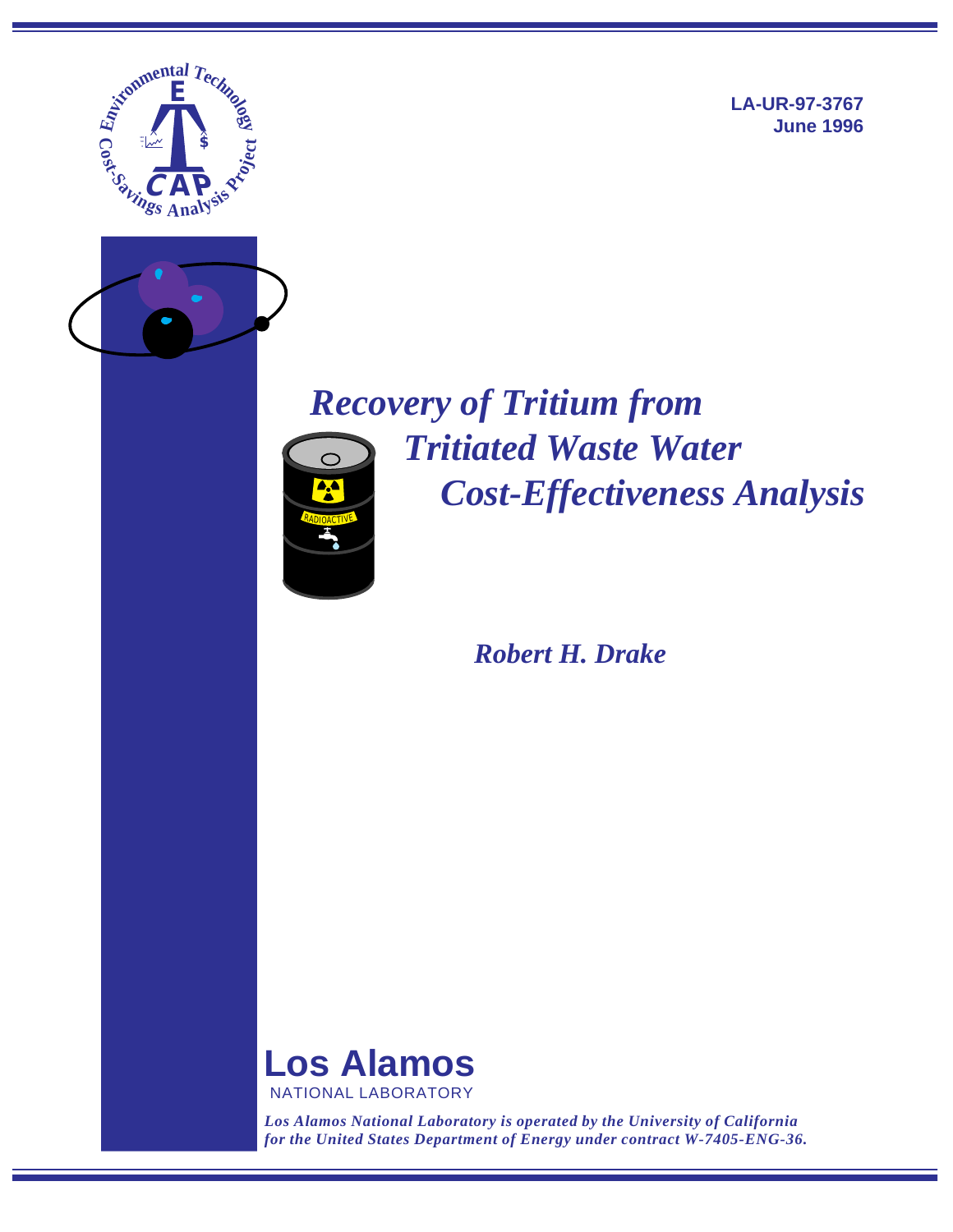

**LA-UR-97-3767 June 1996**

# *Recovery of Tritium from Tritiated Waste Water Cost-Effectiveness Analysis* RADIOACTIVE

## *Robert H. Drake*



*Los Alamos National Laboratory is operated by the University of California for the United States Department of Energy under contract W-7405-ENG-36.*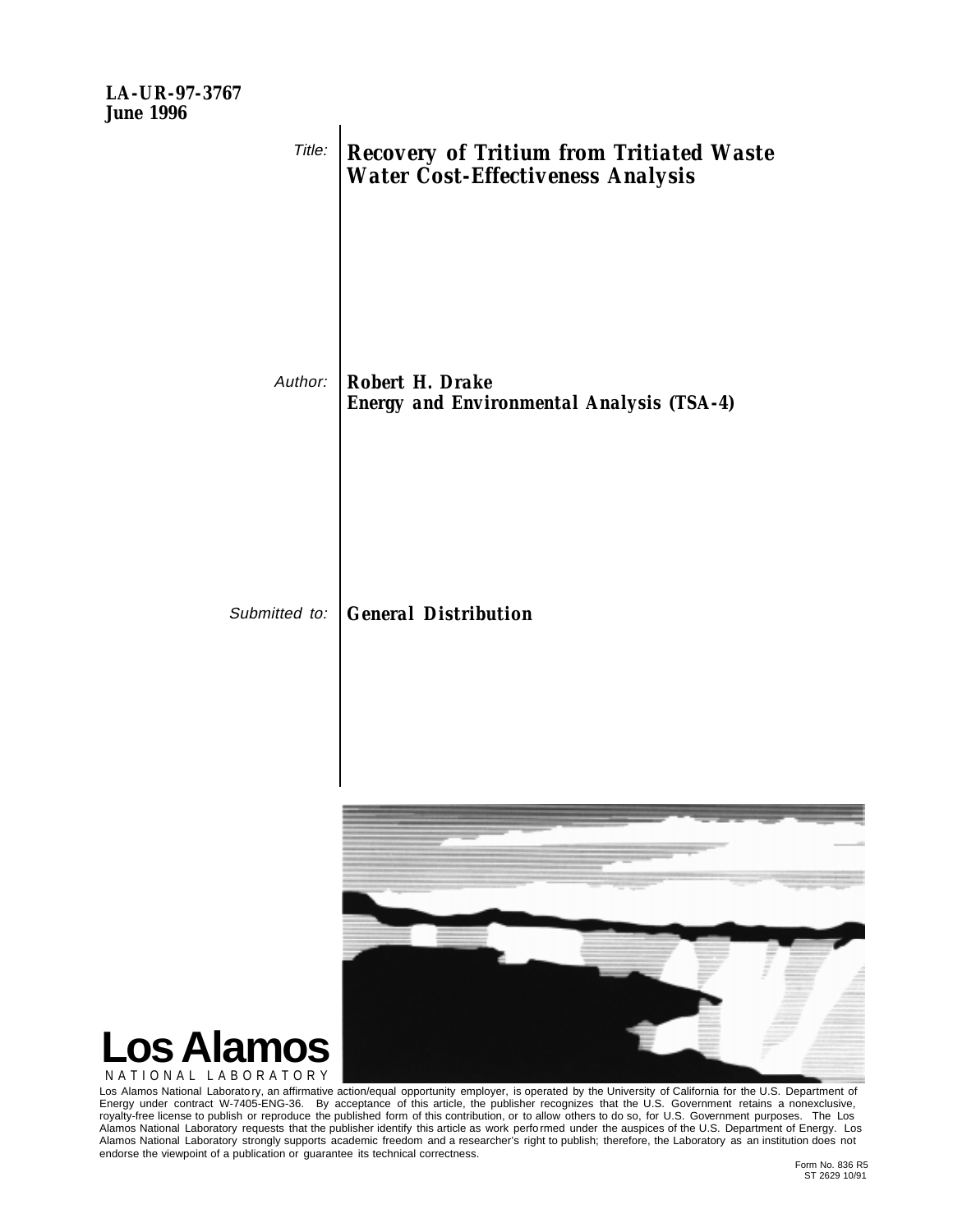

NATIONAL LABORATORY

Los Alamos National Laborato ry, an affirmative action/equal opportunity employer, is operated by the University of California for the U.S. Department of Energy under contract W-7405-ENG-36. By acceptance of this article, the publisher recognizes that the U.S. Government retains a nonexclusive, royalty-free license to publish or reproduce the published form of this contribution, or to allow others to do so, for U.S. Government purposes. The Los Alamos National Laboratory requests that the publisher identify this article as work perfo rmed under the auspices of the U.S. Department of Energy. Los Alamos National Laboratory strongly supports academic freedom and a researcher's right to publish; therefore, the Laboratory as an institution does not endorse the viewpoint of a publication or guarantee its technical correctness.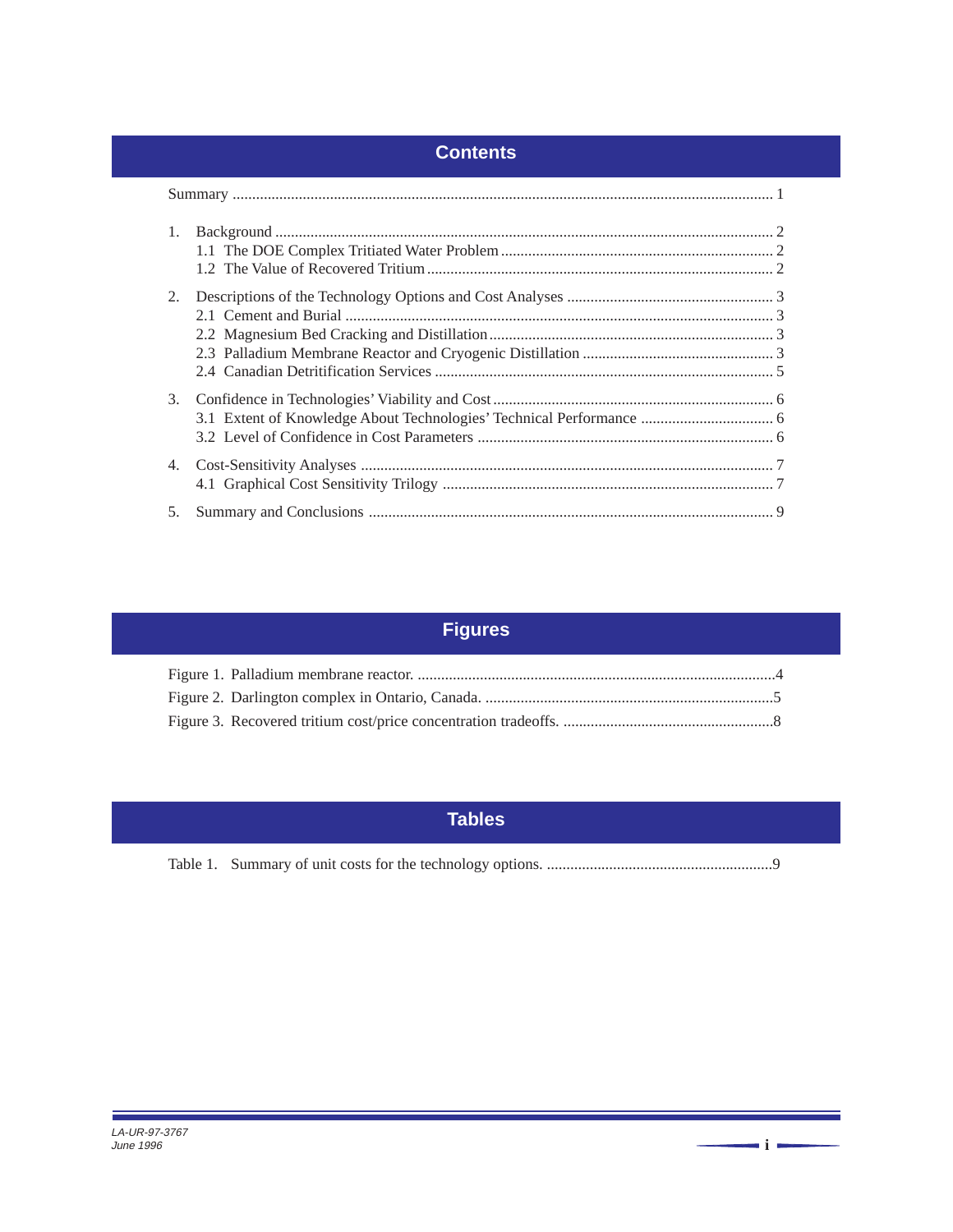## **Contents**

| 1. |  |
|----|--|
| 2. |  |
| 3. |  |
|    |  |
| 5. |  |

## **Figures**

## **Tables**

**i**

<u> 1989 - Johann Barnett, fransk politiker (d. 1989)</u>

Е

<u> Tanzania di Kabupaten Bandara di Kabupaten Bandara di Kabupaten Bandara di Kabupaten Bandara di Kabupaten Bandara di Kabupaten Bandara di Kabupaten Bandara di Kabupaten Bandara di Kabupaten Bandara di Kabupaten Bandara d</u>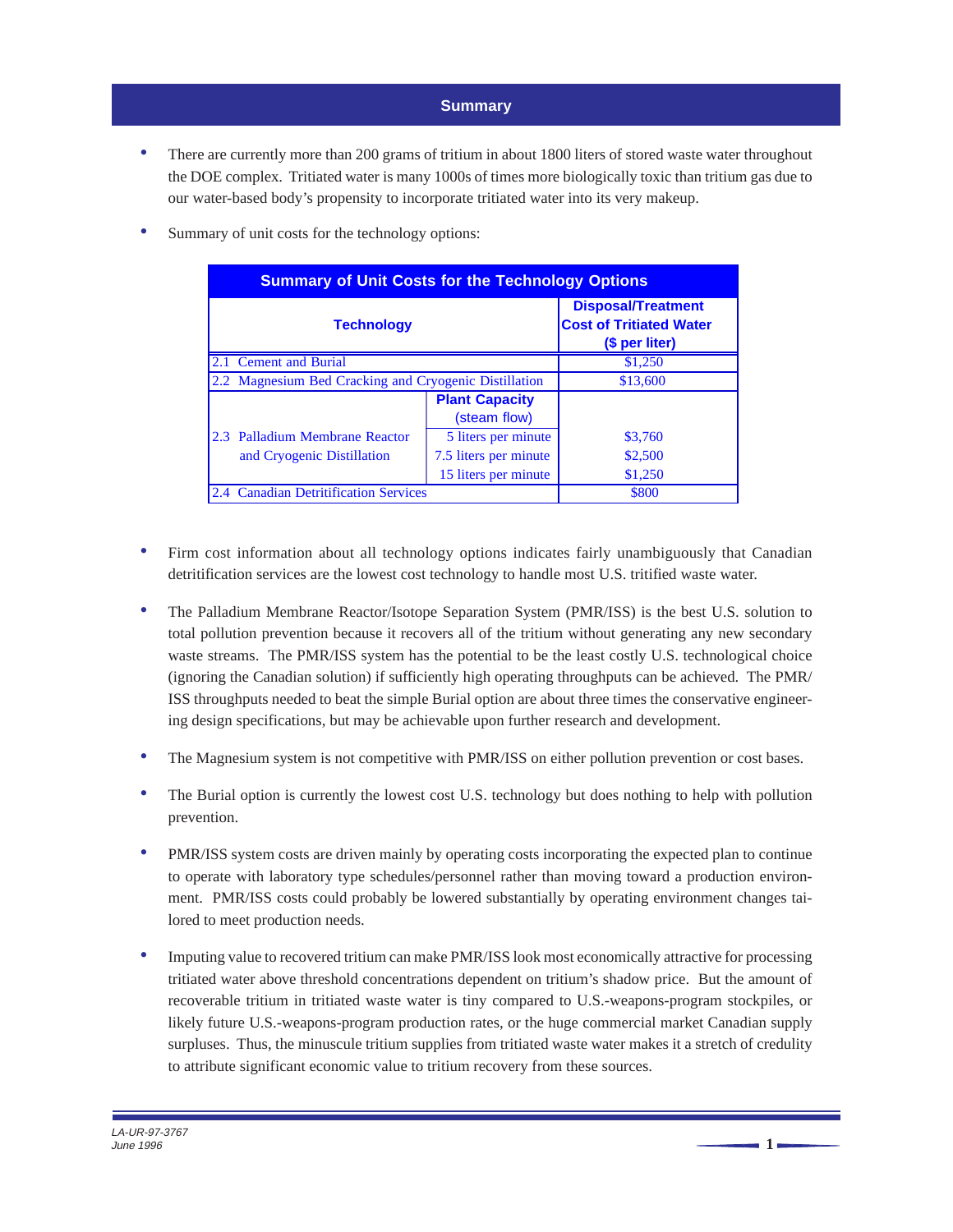## **Summary**

<span id="page-3-0"></span>There are currently more than 200 grams of tritium in about 1800 liters of stored waste water throughout the DOE complex. Tritiated water is many 1000s of times more biologically toxic than tritium gas due to our water-based body's propensity to incorporate tritiated water into its very makeup.

| <b>Summary of Unit Costs for the Technology Options</b> |                                                                               |                                       |         |  |  |  |
|---------------------------------------------------------|-------------------------------------------------------------------------------|---------------------------------------|---------|--|--|--|
| <b>Technology</b>                                       | <b>Disposal/Treatment</b><br><b>Cost of Tritiated Water</b><br>(\$ per liter) |                                       |         |  |  |  |
| 2.1 Cement and Burial                                   | \$1,250                                                                       |                                       |         |  |  |  |
|                                                         | 2.2 Magnesium Bed Cracking and Cryogenic Distillation                         |                                       |         |  |  |  |
|                                                         |                                                                               | <b>Plant Capacity</b><br>(steam flow) |         |  |  |  |
| 2.3 Palladium Membrane Reactor                          |                                                                               | 5 liters per minute                   | \$3,760 |  |  |  |
| and Cryogenic Distillation                              |                                                                               | 7.5 liters per minute                 | \$2,500 |  |  |  |
|                                                         |                                                                               | 15 liters per minute                  | \$1,250 |  |  |  |
| 2.4 Canadian Detritification Services                   | \$800                                                                         |                                       |         |  |  |  |

Summary of unit costs for the technology options:

- Firm cost information about all technology options indicates fairly unambiguously that Canadian detritification services are the lowest cost technology to handle most U.S. tritified waste water.
- The Palladium Membrane Reactor/Isotope Separation System (PMR/ISS) is the best U.S. solution to total pollution prevention because it recovers all of the tritium without generating any new secondary waste streams. The PMR/ISS system has the potential to be the least costly U.S. technological choice (ignoring the Canadian solution) if sufficiently high operating throughputs can be achieved. The PMR/ ISS throughputs needed to beat the simple Burial option are about three times the conservative engineering design specifications, but may be achievable upon further research and development.
- The Magnesium system is not competitive with PMR/ISS on either pollution prevention or cost bases.
- The Burial option is currently the lowest cost U.S. technology but does nothing to help with pollution prevention.
- PMR/ISS system costs are driven mainly by operating costs incorporating the expected plan to continue to operate with laboratory type schedules/personnel rather than moving toward a production environment. PMR/ISS costs could probably be lowered substantially by operating environment changes tailored to meet production needs.
- Imputing value to recovered tritium can make PMR/ISS look most economically attractive for processing tritiated water above threshold concentrations dependent on tritium's shadow price. But the amount of recoverable tritium in tritiated waste water is tiny compared to U.S.-weapons-program stockpiles, or likely future U.S.-weapons-program production rates, or the huge commercial market Canadian supply surpluses. Thus, the minuscule tritium supplies from tritiated waste water makes it a stretch of credulity to attribute significant economic value to tritium recovery from these sources.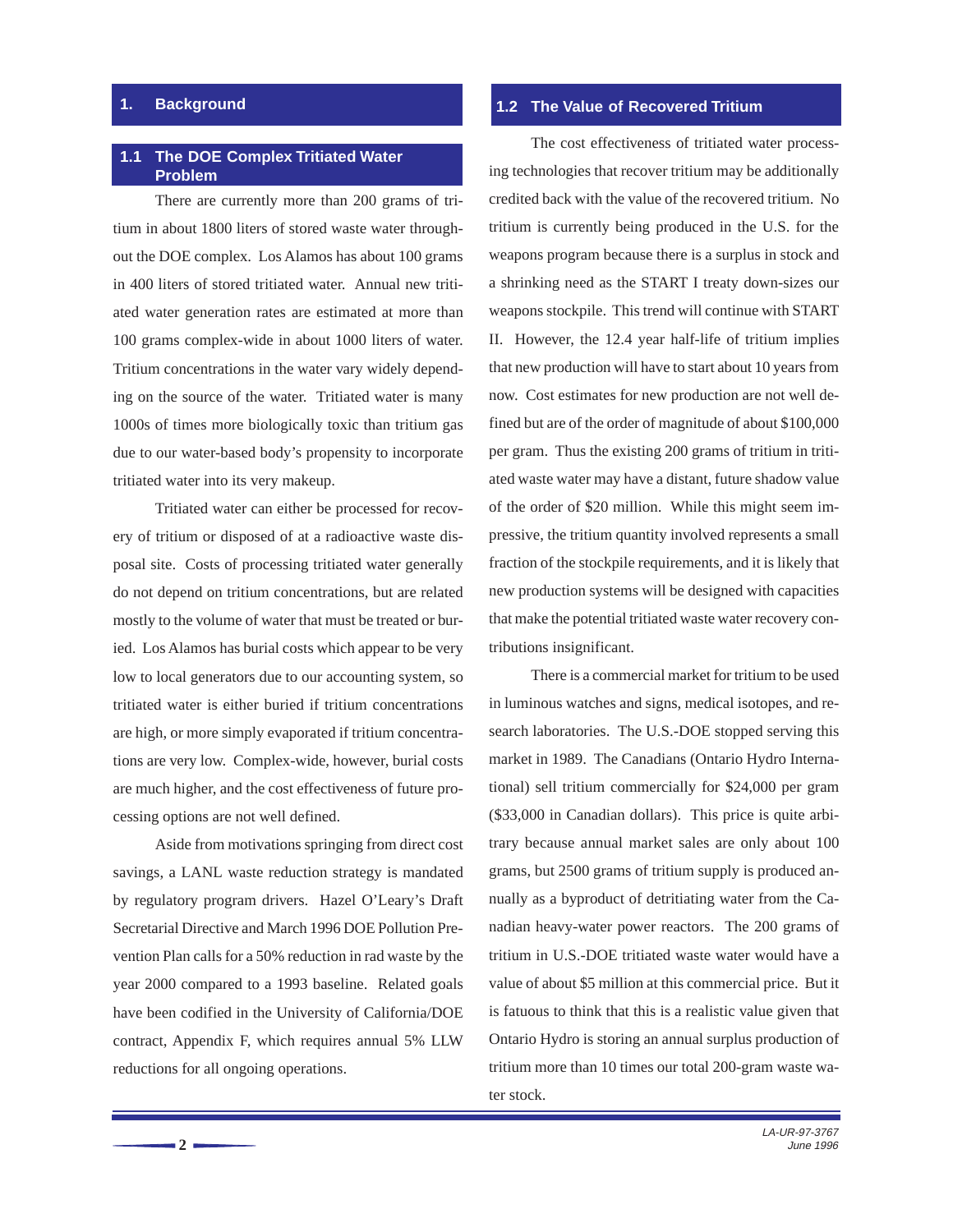## <span id="page-4-0"></span>**1. Background**

#### **1.1 The DOE Complex Tritiated Water Problem**

There are currently more than 200 grams of tritium in about 1800 liters of stored waste water throughout the DOE complex. Los Alamos has about 100 grams in 400 liters of stored tritiated water. Annual new tritiated water generation rates are estimated at more than 100 grams complex-wide in about 1000 liters of water. Tritium concentrations in the water vary widely depending on the source of the water. Tritiated water is many 1000s of times more biologically toxic than tritium gas due to our water-based body's propensity to incorporate tritiated water into its very makeup.

Tritiated water can either be processed for recovery of tritium or disposed of at a radioactive waste disposal site. Costs of processing tritiated water generally do not depend on tritium concentrations, but are related mostly to the volume of water that must be treated or buried. Los Alamos has burial costs which appear to be very low to local generators due to our accounting system, so tritiated water is either buried if tritium concentrations are high, or more simply evaporated if tritium concentrations are very low. Complex-wide, however, burial costs are much higher, and the cost effectiveness of future processing options are not well defined.

Aside from motivations springing from direct cost savings, a LANL waste reduction strategy is mandated by regulatory program drivers. Hazel O'Leary's Draft Secretarial Directive and March 1996 DOE Pollution Prevention Plan calls for a 50% reduction in rad waste by the year 2000 compared to a 1993 baseline. Related goals have been codified in the University of California/DOE contract, Appendix F, which requires annual 5% LLW reductions for all ongoing operations.

## **1.2 The Value of Recovered Tritium**

The cost effectiveness of tritiated water processing technologies that recover tritium may be additionally credited back with the value of the recovered tritium. No tritium is currently being produced in the U.S. for the weapons program because there is a surplus in stock and a shrinking need as the START I treaty down-sizes our weapons stockpile. This trend will continue with START II. However, the 12.4 year half-life of tritium implies that new production will have to start about 10 years from now. Cost estimates for new production are not well defined but are of the order of magnitude of about \$100,000 per gram. Thus the existing 200 grams of tritium in tritiated waste water may have a distant, future shadow value of the order of \$20 million. While this might seem impressive, the tritium quantity involved represents a small fraction of the stockpile requirements, and it is likely that new production systems will be designed with capacities that make the potential tritiated waste water recovery contributions insignificant.

There is a commercial market for tritium to be used in luminous watches and signs, medical isotopes, and research laboratories. The U.S.-DOE stopped serving this market in 1989. The Canadians (Ontario Hydro International) sell tritium commercially for \$24,000 per gram (\$33,000 in Canadian dollars). This price is quite arbitrary because annual market sales are only about 100 grams, but 2500 grams of tritium supply is produced annually as a byproduct of detritiating water from the Canadian heavy-water power reactors. The 200 grams of tritium in U.S.-DOE tritiated waste water would have a value of about \$5 million at this commercial price. But it is fatuous to think that this is a realistic value given that Ontario Hydro is storing an annual surplus production of tritium more than 10 times our total 200-gram waste water stock.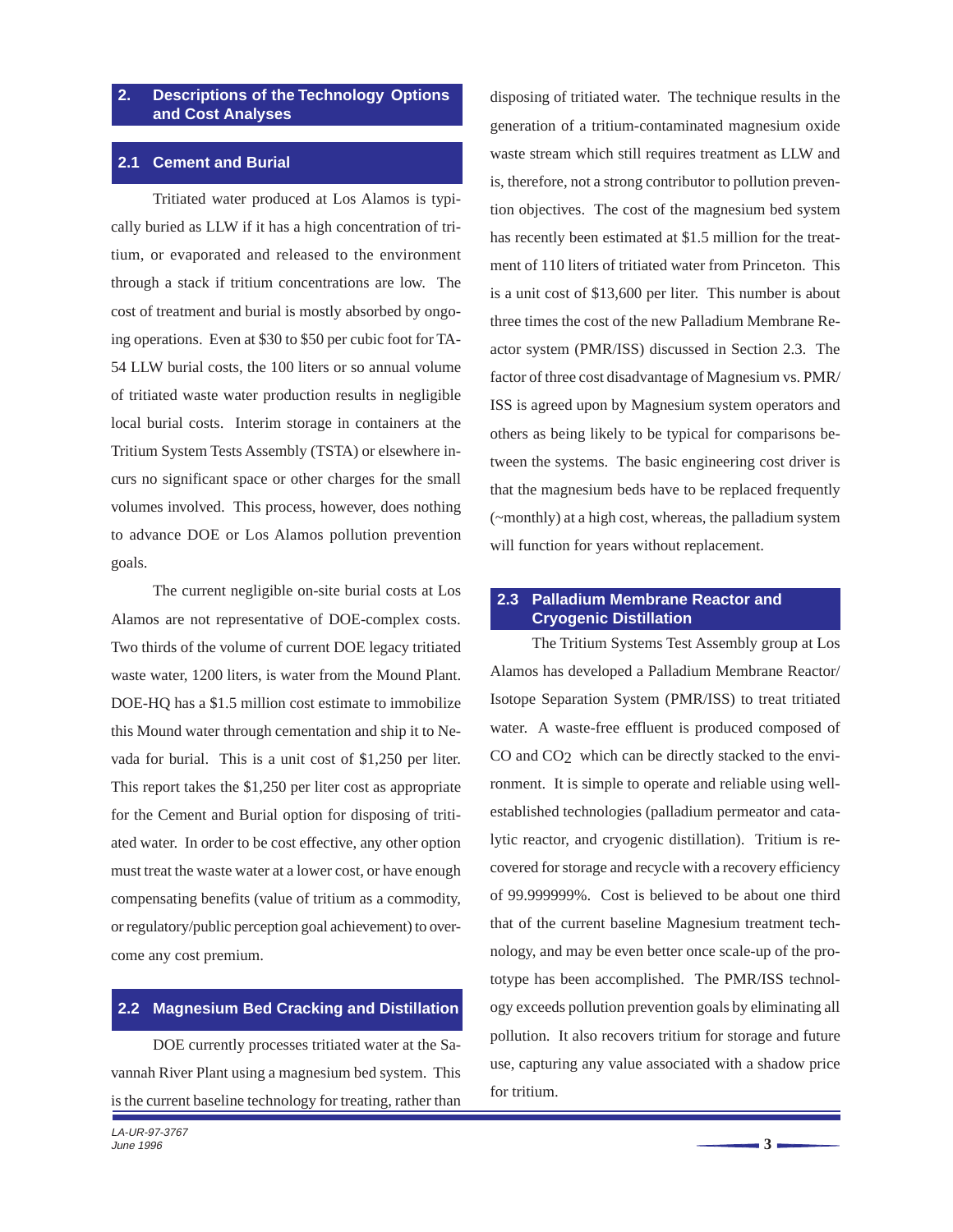### <span id="page-5-0"></span>**2. Descriptions of the Technology Options and Cost Analyses**

### **2.1 Cement and Burial**

Tritiated water produced at Los Alamos is typically buried as LLW if it has a high concentration of tritium, or evaporated and released to the environment through a stack if tritium concentrations are low. The cost of treatment and burial is mostly absorbed by ongoing operations. Even at \$30 to \$50 per cubic foot for TA-54 LLW burial costs, the 100 liters or so annual volume of tritiated waste water production results in negligible local burial costs. Interim storage in containers at the Tritium System Tests Assembly (TSTA) or elsewhere incurs no significant space or other charges for the small volumes involved. This process, however, does nothing to advance DOE or Los Alamos pollution prevention goals.

The current negligible on-site burial costs at Los Alamos are not representative of DOE-complex costs. Two thirds of the volume of current DOE legacy tritiated waste water, 1200 liters, is water from the Mound Plant. DOE-HQ has a \$1.5 million cost estimate to immobilize this Mound water through cementation and ship it to Nevada for burial. This is a unit cost of \$1,250 per liter. This report takes the \$1,250 per liter cost as appropriate for the Cement and Burial option for disposing of tritiated water. In order to be cost effective, any other option must treat the waste water at a lower cost, or have enough compensating benefits (value of tritium as a commodity, or regulatory/public perception goal achievement) to overcome any cost premium.

## **2.2 Magnesium Bed Cracking and Distillation**

DOE currently processes tritiated water at the Savannah River Plant using a magnesium bed system. This is the current baseline technology for treating, rather than disposing of tritiated water. The technique results in the generation of a tritium-contaminated magnesium oxide waste stream which still requires treatment as LLW and is, therefore, not a strong contributor to pollution prevention objectives. The cost of the magnesium bed system has recently been estimated at \$1.5 million for the treatment of 110 liters of tritiated water from Princeton. This is a unit cost of \$13,600 per liter. This number is about three times the cost of the new Palladium Membrane Reactor system (PMR/ISS) discussed in Section 2.3. The factor of three cost disadvantage of Magnesium vs. PMR/ ISS is agreed upon by Magnesium system operators and others as being likely to be typical for comparisons between the systems. The basic engineering cost driver is that the magnesium beds have to be replaced frequently (~monthly) at a high cost, whereas, the palladium system will function for years without replacement.

## **2.3 Palladium Membrane Reactor and Cryogenic Distillation**

The Tritium Systems Test Assembly group at Los Alamos has developed a Palladium Membrane Reactor/ Isotope Separation System (PMR/ISS) to treat tritiated water. A waste-free effluent is produced composed of CO and CO<sub>2</sub> which can be directly stacked to the environment. It is simple to operate and reliable using wellestablished technologies (palladium permeator and catalytic reactor, and cryogenic distillation). Tritium is recovered for storage and recycle with a recovery efficiency of 99.999999%. Cost is believed to be about one third that of the current baseline Magnesium treatment technology, and may be even better once scale-up of the prototype has been accomplished. The PMR/ISS technology exceeds pollution prevention goals by eliminating all pollution. It also recovers tritium for storage and future use, capturing any value associated with a shadow price for tritium.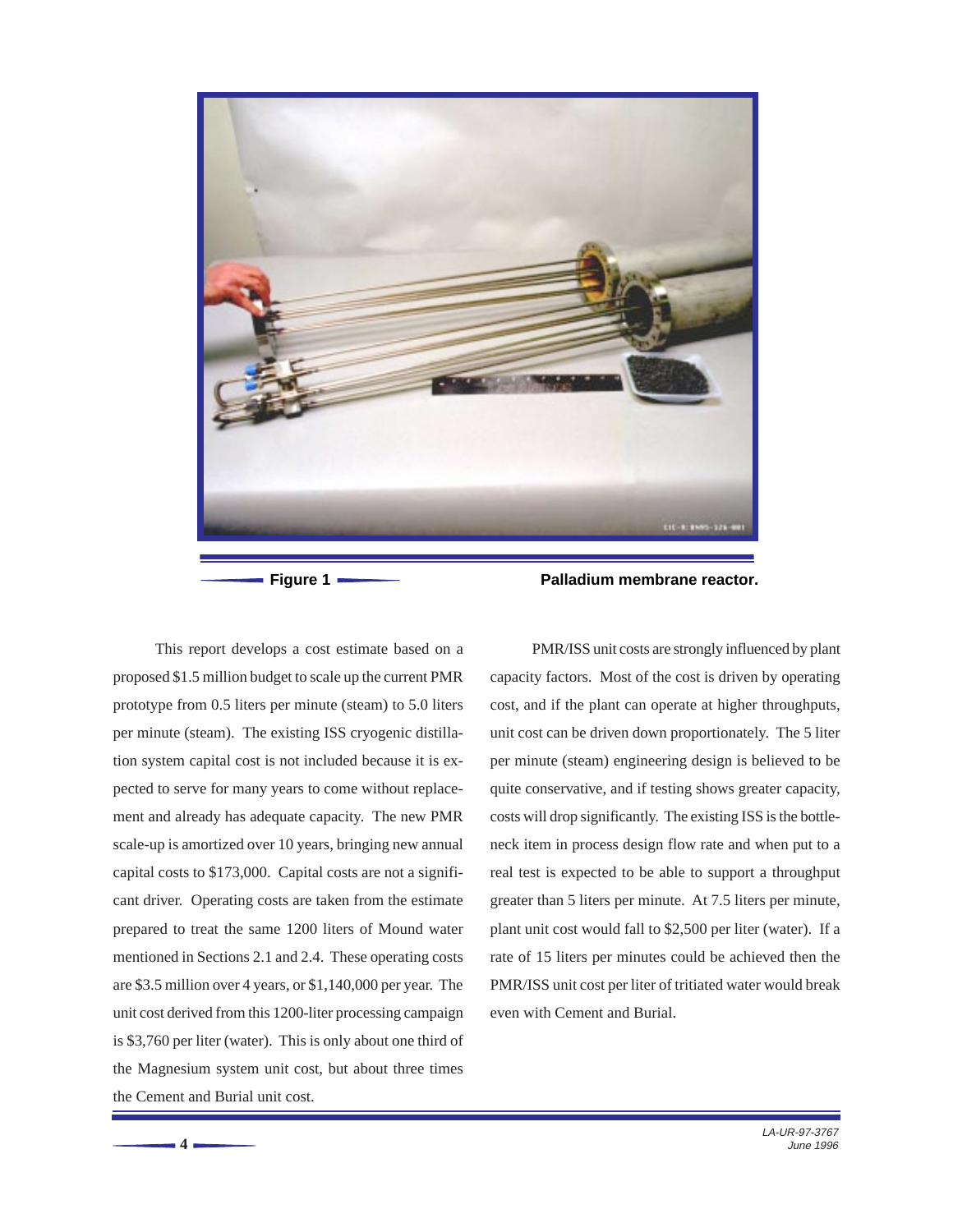<span id="page-6-0"></span>

This report develops a cost estimate based on a proposed \$1.5 million budget to scale up the current PMR prototype from 0.5 liters per minute (steam) to 5.0 liters per minute (steam). The existing ISS cryogenic distillation system capital cost is not included because it is expected to serve for many years to come without replacement and already has adequate capacity. The new PMR scale-up is amortized over 10 years, bringing new annual capital costs to \$173,000. Capital costs are not a significant driver. Operating costs are taken from the estimate prepared to treat the same 1200 liters of Mound water mentioned in Sections 2.1 and 2.4. These operating costs are \$3.5 million over 4 years, or \$1,140,000 per year. The unit cost derived from this 1200-liter processing campaign is \$3,760 per liter (water). This is only about one third of the Magnesium system unit cost, but about three times the Cement and Burial unit cost.

**4**

**Figure 1 Palladium membrane reactor.**

PMR/ISS unit costs are strongly influenced by plant capacity factors. Most of the cost is driven by operating cost, and if the plant can operate at higher throughputs, unit cost can be driven down proportionately. The 5 liter per minute (steam) engineering design is believed to be quite conservative, and if testing shows greater capacity, costs will drop significantly. The existing ISS is the bottleneck item in process design flow rate and when put to a real test is expected to be able to support a throughput greater than 5 liters per minute. At 7.5 liters per minute, plant unit cost would fall to \$2,500 per liter (water). If a rate of 15 liters per minutes could be achieved then the PMR/ISS unit cost per liter of tritiated water would break even with Cement and Burial.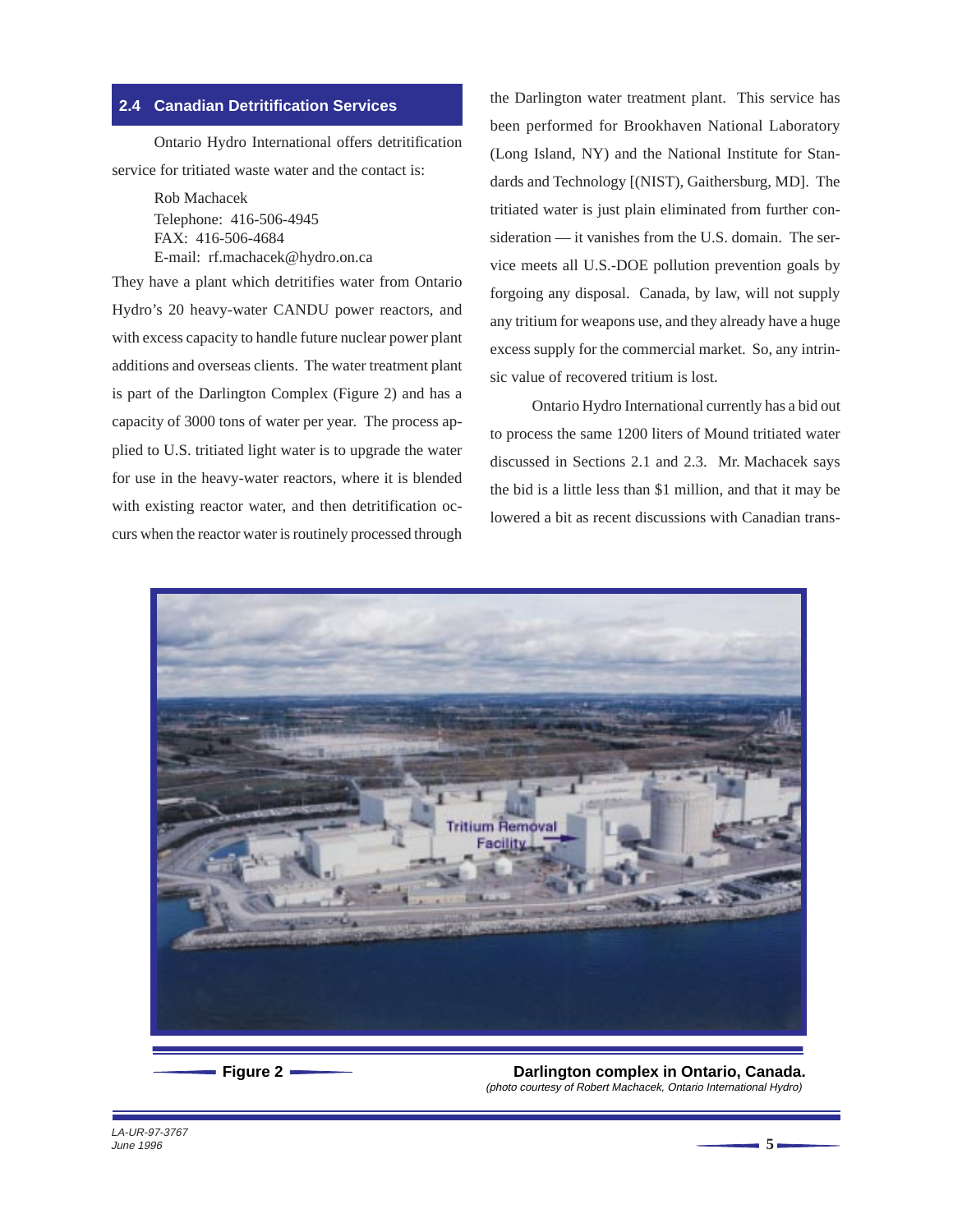## <span id="page-7-0"></span>**2.4 Canadian Detritification Services**

Ontario Hydro International offers detritification service for tritiated waste water and the contact is:

> Rob Machacek Telephone: 416-506-4945 FAX: 416-506-4684 E-mail: rf.machacek@hydro.on.ca

They have a plant which detritifies water from Ontario Hydro's 20 heavy-water CANDU power reactors, and with excess capacity to handle future nuclear power plant additions and overseas clients. The water treatment plant is part of the Darlington Complex (Figure 2) and has a capacity of 3000 tons of water per year. The process applied to U.S. tritiated light water is to upgrade the water for use in the heavy-water reactors, where it is blended with existing reactor water, and then detritification occurs when the reactor water is routinely processed through

the Darlington water treatment plant. This service has been performed for Brookhaven National Laboratory (Long Island, NY) and the National Institute for Standards and Technology [(NIST), Gaithersburg, MD]. The tritiated water is just plain eliminated from further consideration — it vanishes from the U.S. domain. The service meets all U.S.-DOE pollution prevention goals by forgoing any disposal. Canada, by law, will not supply any tritium for weapons use, and they already have a huge excess supply for the commercial market. So, any intrinsic value of recovered tritium is lost.

Ontario Hydro International currently has a bid out to process the same 1200 liters of Mound tritiated water discussed in Sections 2.1 and 2.3. Mr. Machacek says the bid is a little less than \$1 million, and that it may be lowered a bit as recent discussions with Canadian trans-



**Figure 2 Darlington complex in Ontario, Canada.** (photo courtesy of Robert Machacek, Ontario International Hydro)

LA-UR-97-3767 June 1996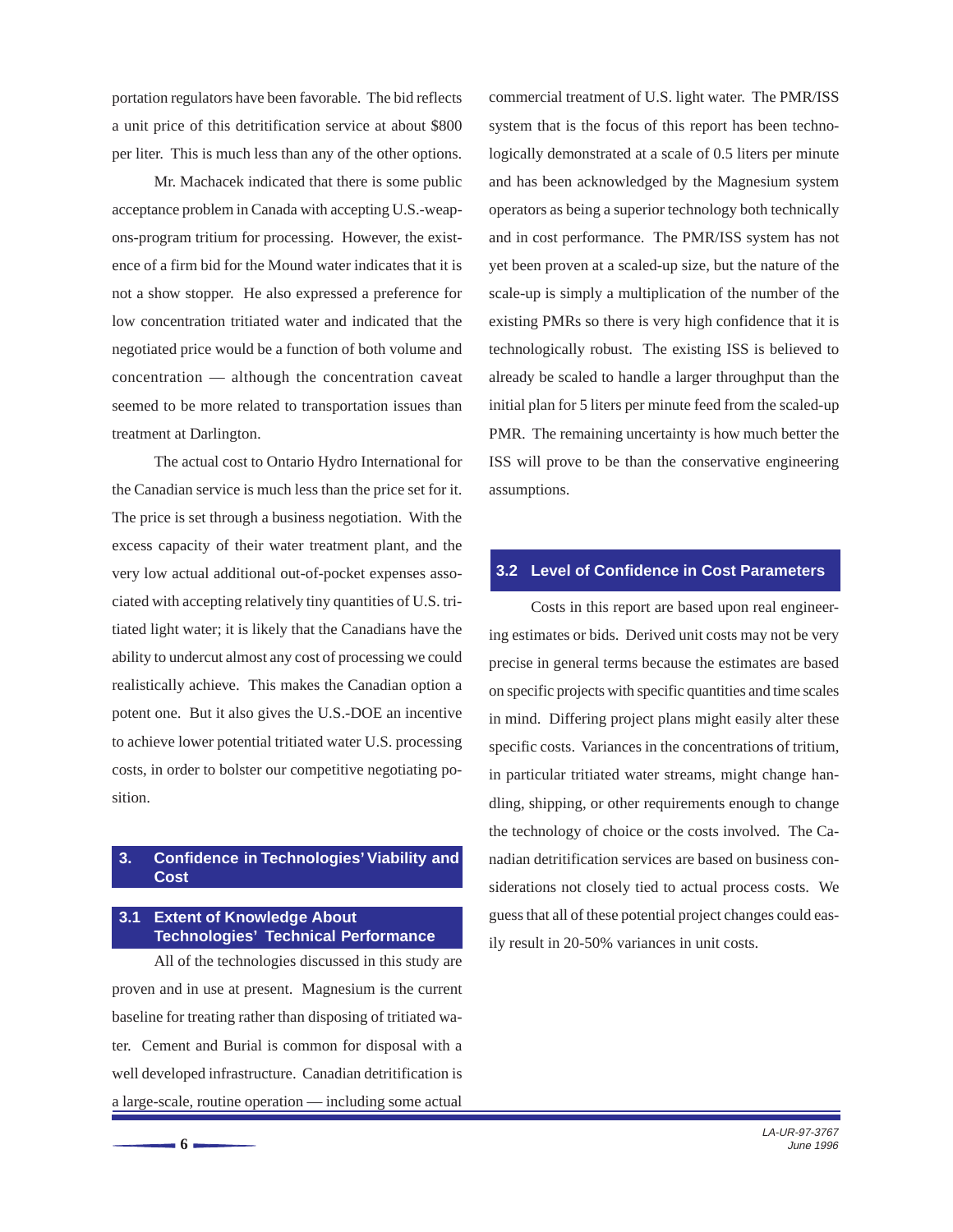<span id="page-8-0"></span>portation regulators have been favorable. The bid reflects a unit price of this detritification service at about \$800 per liter. This is much less than any of the other options.

Mr. Machacek indicated that there is some public acceptance problem in Canada with accepting U.S.-weapons-program tritium for processing. However, the existence of a firm bid for the Mound water indicates that it is not a show stopper. He also expressed a preference for low concentration tritiated water and indicated that the negotiated price would be a function of both volume and concentration — although the concentration caveat seemed to be more related to transportation issues than treatment at Darlington.

The actual cost to Ontario Hydro International for the Canadian service is much less than the price set for it. The price is set through a business negotiation. With the excess capacity of their water treatment plant, and the very low actual additional out-of-pocket expenses associated with accepting relatively tiny quantities of U.S. tritiated light water; it is likely that the Canadians have the ability to undercut almost any cost of processing we could realistically achieve. This makes the Canadian option a potent one. But it also gives the U.S.-DOE an incentive to achieve lower potential tritiated water U.S. processing costs, in order to bolster our competitive negotiating position.

## **3. Confidence in Technologies' Viability and Cost**

## **3.1 Extent of Knowledge About Technologies' Technical Performance**

All of the technologies discussed in this study are proven and in use at present. Magnesium is the current baseline for treating rather than disposing of tritiated water. Cement and Burial is common for disposal with a well developed infrastructure. Canadian detritification is a large-scale, routine operation — including some actual

**6**

commercial treatment of U.S. light water. The PMR/ISS system that is the focus of this report has been technologically demonstrated at a scale of 0.5 liters per minute and has been acknowledged by the Magnesium system operators as being a superior technology both technically and in cost performance. The PMR/ISS system has not yet been proven at a scaled-up size, but the nature of the scale-up is simply a multiplication of the number of the existing PMRs so there is very high confidence that it is technologically robust. The existing ISS is believed to already be scaled to handle a larger throughput than the initial plan for 5 liters per minute feed from the scaled-up PMR. The remaining uncertainty is how much better the ISS will prove to be than the conservative engineering assumptions.

#### **3.2 Level of Confidence in Cost Parameters**

Costs in this report are based upon real engineering estimates or bids. Derived unit costs may not be very precise in general terms because the estimates are based on specific projects with specific quantities and time scales in mind. Differing project plans might easily alter these specific costs. Variances in the concentrations of tritium, in particular tritiated water streams, might change handling, shipping, or other requirements enough to change the technology of choice or the costs involved. The Canadian detritification services are based on business considerations not closely tied to actual process costs. We guess that all of these potential project changes could easily result in 20-50% variances in unit costs.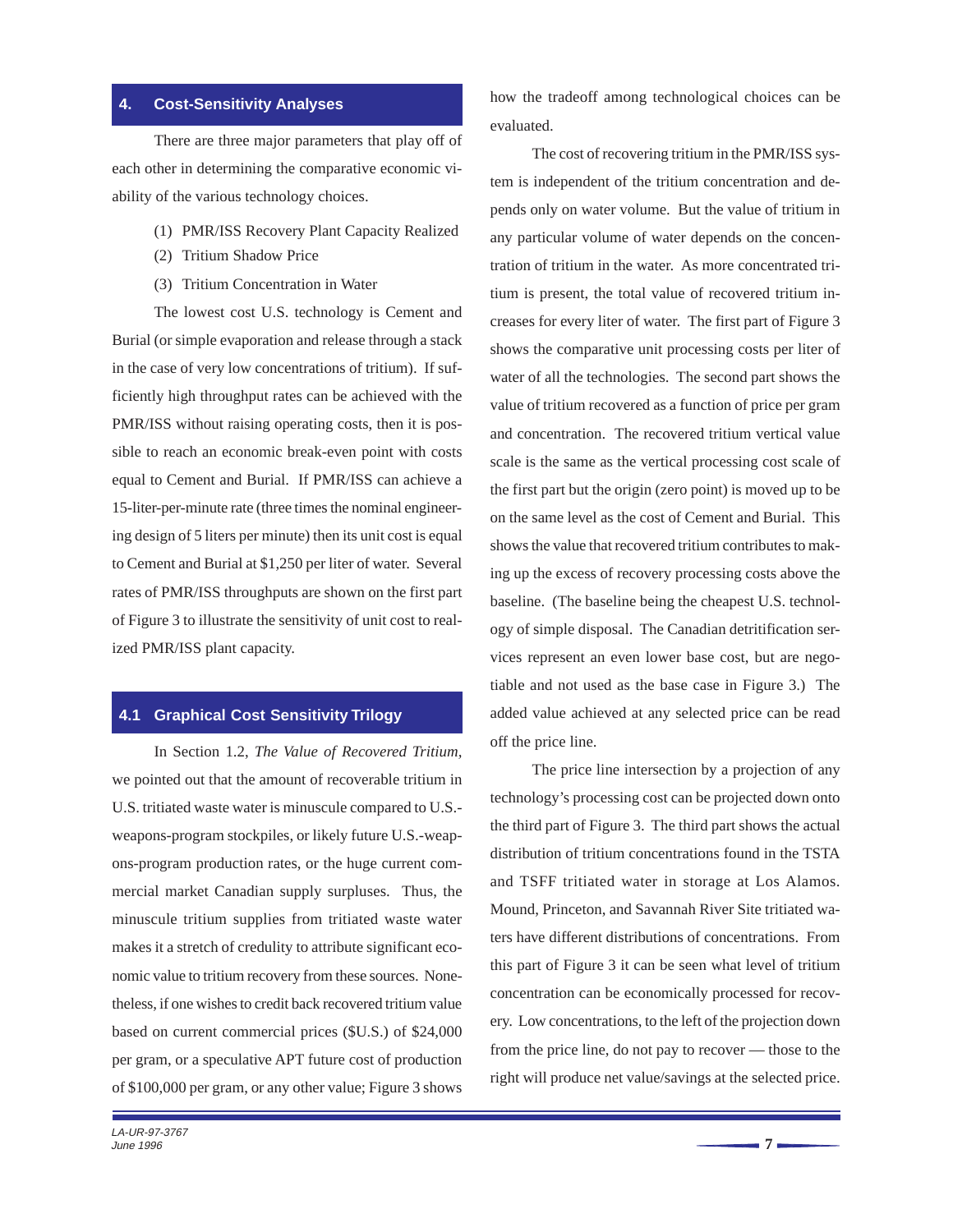#### <span id="page-9-0"></span>**4. Cost-Sensitivity Analyses**

There are three major parameters that play off of each other in determining the comparative economic viability of the various technology choices.

- (1) PMR/ISS Recovery Plant Capacity Realized
- (2) Tritium Shadow Price
- (3) Tritium Concentration in Water

The lowest cost U.S. technology is Cement and Burial (or simple evaporation and release through a stack in the case of very low concentrations of tritium). If sufficiently high throughput rates can be achieved with the PMR/ISS without raising operating costs, then it is possible to reach an economic break-even point with costs equal to Cement and Burial. If PMR/ISS can achieve a 15-liter-per-minute rate (three times the nominal engineering design of 5 liters per minute) then its unit cost is equal to Cement and Burial at \$1,250 per liter of water. Several rates of PMR/ISS throughputs are shown on the first part of Figure 3 to illustrate the sensitivity of unit cost to realized PMR/ISS plant capacity.

#### **4.1 Graphical Cost Sensitivity Trilogy**

In Section 1.2, *The Value of Recovered Tritium,* we pointed out that the amount of recoverable tritium in U.S. tritiated waste water is minuscule compared to U.S. weapons-program stockpiles, or likely future U.S.-weapons-program production rates, or the huge current commercial market Canadian supply surpluses. Thus, the minuscule tritium supplies from tritiated waste water makes it a stretch of credulity to attribute significant economic value to tritium recovery from these sources. Nonetheless, if one wishes to credit back recovered tritium value based on current commercial prices (\$U.S.) of \$24,000 per gram, or a speculative APT future cost of production of \$100,000 per gram, or any other value; Figure 3 shows

how the tradeoff among technological choices can be evaluated.

The cost of recovering tritium in the PMR/ISS system is independent of the tritium concentration and depends only on water volume. But the value of tritium in any particular volume of water depends on the concentration of tritium in the water. As more concentrated tritium is present, the total value of recovered tritium increases for every liter of water. The first part of Figure 3 shows the comparative unit processing costs per liter of water of all the technologies. The second part shows the value of tritium recovered as a function of price per gram and concentration. The recovered tritium vertical value scale is the same as the vertical processing cost scale of the first part but the origin (zero point) is moved up to be on the same level as the cost of Cement and Burial. This shows the value that recovered tritium contributes to making up the excess of recovery processing costs above the baseline. (The baseline being the cheapest U.S. technology of simple disposal. The Canadian detritification services represent an even lower base cost, but are negotiable and not used as the base case in Figure 3.) The added value achieved at any selected price can be read off the price line.

The price line intersection by a projection of any technology's processing cost can be projected down onto the third part of Figure 3. The third part shows the actual distribution of tritium concentrations found in the TSTA and TSFF tritiated water in storage at Los Alamos. Mound, Princeton, and Savannah River Site tritiated waters have different distributions of concentrations. From this part of Figure 3 it can be seen what level of tritium concentration can be economically processed for recovery. Low concentrations, to the left of the projection down from the price line, do not pay to recover — those to the right will produce net value/savings at the selected price.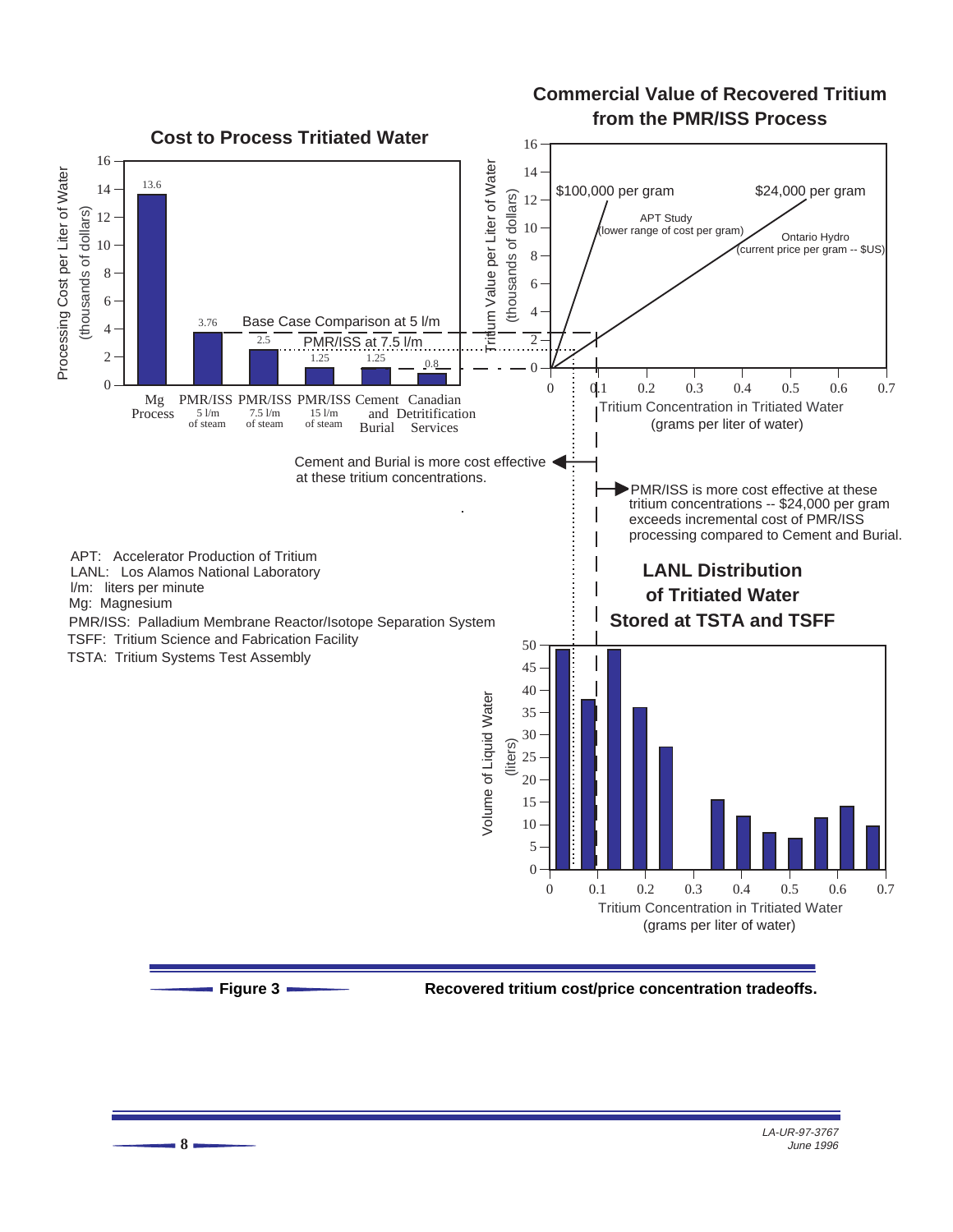## **Commercial Value of Recovered Tritium from the PMR/ISS Process**

<span id="page-10-0"></span>

**Figure 3 Recovered tritium cost/price concentration tradeoffs.**